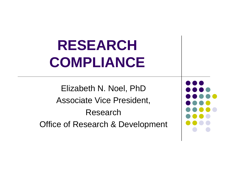# **RESEARCH COMPLIANCE**

Elizabeth N. Noel, PhD Associate Vice President, ResearchOffice of Research & Development

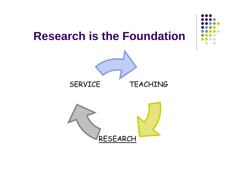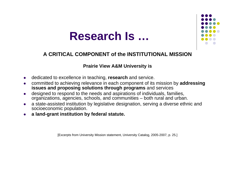

#### **A CRITICAL COMPONENT of the INSTITUTIONAL MISSION**

#### **Prairie View A&M University is**

- o dedicated to excellence in teaching, **research** and service.
- $\bullet$  committed to achieving relevance in each component of its mission by **addressing issues and proposing solutions through programs** and services
- o designed to respond to the needs and aspirations of individuals, families, organizations, agencies, schools, and communities – both rural and urban.
- $\bullet$  a state-assisted institution by legislative designation, serving a diverse ethnic and socioeconomic population.
- O **a land-grant institution by federal statute.**

[Excerpts from University Mission statement, University Catalog, 2005-2007, p. 25.]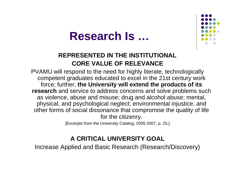



### **REPRESENTED IN THE INSTITUTIONAL CORE VALUE OF RELEVANCE**

PVAMU will respond to the need for highly literate, technologically competent graduates educated to excel in the 21st century work force; further, **the University will extend the products of its research** and service to address concerns and solve problems such as violence, abuse and misuse; drug and alcohol abuse; mental, physical, and psychological neglect; environmental injustice; and other forms of social dissonance that compromise the quality of life for the citizenry.

[Excerpts from the University Catalog, 2005-2007, p. 25.]

### **A CRITICAL UNIVERSITY GOAL**

Increase Applied and Basic Research (Research/Discovery)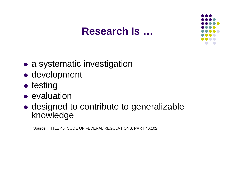

- a systematic investigation
- development
- $\bullet$  testing
- evaluation
- designed to contribute to generalizable knowledge

Source: TITLE 45, CODE OF FEDERAL REGULATIONS, PART 46.102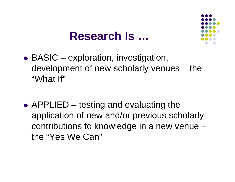

- $\bullet$  BASIC – exploration, investigation, development of new scholarly venues – the "What If"
- APPLIED testing and evaluating the application of new and/or previous scholarly contributions to knowledge in a new venue – the "Yes We Can"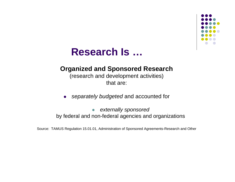

### **Organized and Sponsored Research**

#### (research and development activities) that are:

 $\bullet$ *separately budgeted* and accounted for

 $\bullet$  *externally sponsored* by federal and non-federal agencies and organizations

Source: TAMUS Regulation 15.01.01, Administration of Sponsored Agreements-Research and Other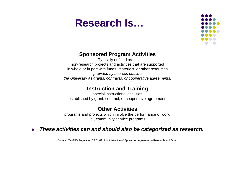

#### **Sponsored Program Activities**

Typically defined as … non-research projects and activities that are supported in whole or in part with funds, materials, or other resources *provided by sources outside the University as grants, contracts, or cooperative agreements.* 

#### **Instruction and Training**

special instructional activities established by grant, contract, or cooperative agreement.

#### **Other Activities**

programs and projects which involve the performance of work, i.e., community service programs.

#### $\bullet$ *These activities can and should also be categorized as research***.**

Source: TAMUS Regulation 15.01.01, Administration of Sponsored Agreements-Research and Other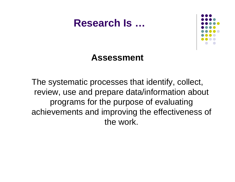

## **Assessment**

The systematic processes that identify, collect, review, use and prepare data/information about programs for the purpose of evaluating achievements and improving the effectiveness of the work.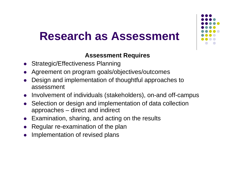# **Research as Assessment**



### **Assessment Requires**

- $\bullet$ Strategic/Effectiveness Planning
- $\bullet$ Agreement on program goals/objectives/outcomes
- $\bullet$  Design and implementation of thoughtful approaches to assessment
- Involvement of individuals (stakeholders), on-and off-campus
- $\bullet$  Selection or design and implementation of data collection approaches – direct and indirect
- $\bullet$ Examination, sharing, and acting on the results
- $\bullet$ Regular re-examination of the plan
- $\bullet$ Implementation of revised plans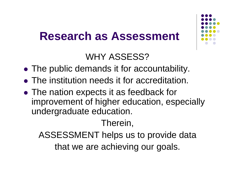# **Research as Assessment**



## WHY ASSESS?

- The public demands it for accountability.
- The institution needs it for accreditation.
- The nation expects it as feedback for improvement of higher education, especially undergraduate education.

## Therein,

ASSESSMENT helps us to provide data that we are achieving our goals.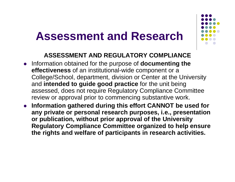# **Assessment and Research**



### **ASSESSMENT AND REGULATORY COMPLIANCE**

- **•** Information obtained for the purpose of **documenting the effectiveness** of an institutional-wide component or a College/School, department, division or Center at the University and **intended to guide good practice** for the unit being assessed, does not require Regulatory Compliance Committee review or approval prior to commencing substantive work.
- **Information gathered during this effort CANNOT be used for any private or personal research purposes, i.e., presentation or publication, without prior approval of the University Regulatory Compliance Committee organized to help ensure the rights and welfare of participants in research activities.**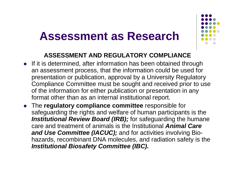# **Assessment as Research**



### **ASSESSMENT AND REGULATORY COMPLIANCE**

- If it is determined, after information has been obtained through an assessment process, that the information could be used for presentation or publication, approval by a University Regulatory Compliance Committee must be sought and received prior to use of the information for either publication or presentation in any format other than as an internal institutional report.
- **The regulatory compliance committee** responsible for safeguarding the rights and welfare of human participants is the *Institutional Review Board (IRB);* for safeguarding the humane care and treatment of animals is the Institutional *Animal Care and Use Committee (IACUC);* and for activities involving Biohazards, recombinant DNA molecules, and radiation safety is the *Institutional Biosafety Committee (IBC).*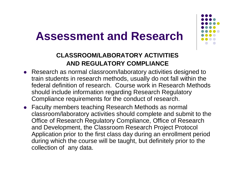# **Assessment and Research**



### **CLASSROOM/LABORATORY ACTIVITIES AND REGULATORY COMPLIANCE**

- Research as normal classroom/laboratory activities designed to train students in research methods, usually do not fall within the federal definition of research. Course work in Research Methodsshould include information regarding Research Regulatory Compliance requirements for the conduct of research.
- Faculty members teaching Research Methods as normal classroom/laboratory activities should complete and submit to the Office of Research Regulatory Compliance, Office of Research and Development, the Classroom Research Project Protocol Application prior to the first class day during an enrollment period during which the course will be taught, but definitely prior to the collection of any data.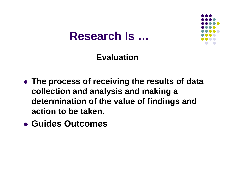

## **Evaluation**

- **The process of receiving the results of data collection and analysis and making a determination of the value of findings and action to be taken.**
- z **Guides Outcomes**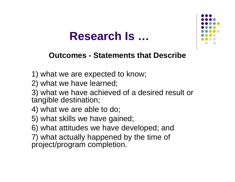

### **Outcomes - Statements that Describe**

- 1) what we are expected to know;
- 2) what we have learned;
- 3) what we have achieved of a desired result or tangible destination;
- 4) what we are able to do;
- 5) what skills we have gained;
- 6) what attitudes we have developed; and
- 7) what actually happened by the time of project/program completion.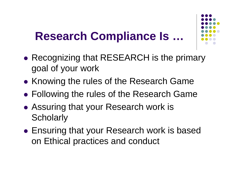

- $\bullet$  Recognizing that RESEARCH is the primary goal of your work
- $\bullet$ • Knowing the rules of the Research Game
- $\bullet$ Following the rules of the Research Game
- Assuring that your Research work is **Scholarly**
- Ensuring that your Research work is based on Ethical practices and conduct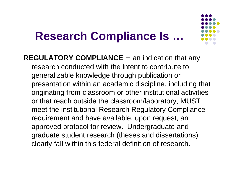

**REGULATORY COMPLIANCE –** an indication that any research conducted with the intent to contribute to generalizable knowledge through publication or presentation within an academic discipline, including that originating from classroom or other institutional activities or that reach outside the classroom/laboratory, MUST meet the institutional Research Regulatory Compliance requirement and have available, upon request, an approved protocol for review. Undergraduate and graduate student research (theses and dissertations) clearly fall within this federal definition of research.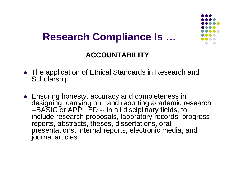

## **ACCOUNTABILITY**

- The application of Ethical Standards in Research and Scholarship.
- Ensuring honesty, accuracy and completeness in designing, carrying out, and reporting academic research --BASIC or APPLIED -- in all disciplinary fields, to include research proposals, laboratory records, progress reports, abstracts, theses, dissertations, oral presentations, internal reports, electronic media, and journal articles.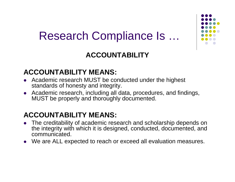

## **ACCOUNTABILITY**

### **ACCOUNTABILITY MEANS:**

- Academic research MUST be conducted under the highest standards of honesty and integrity.
- Academic research, including all data, procedures, and findings, MUST be properly and thoroughly documented.

### **ACCOUNTABILITY MEANS:**

- $\bullet$  The creditability of academic research and scholarship depends on the integrity with which it is designed, conducted, documented, and communicated.
- $\bullet$ We are ALL expected to reach or exceed all evaluation measures.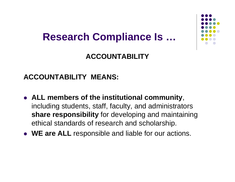## **ACCOUNTABILITY**

### **ACCOUNTABILITY MEANS:**

- z **ALL members of the institutional community**, including students, staff, faculty, and administrators **share responsibility** for developing and maintaining ethical standards of research and scholarship.
- **WE are ALL** responsible and liable for our actions.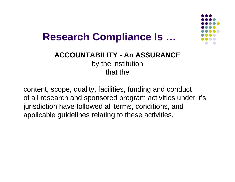

**ACCOUNTABILITY - An ASSURANCE**by the institution that the

content, scope, quality, facilities, funding and conduct of all research and sponsored program activities under it's jurisdiction have followed all terms, conditions, and applicable guidelines relating to these activities.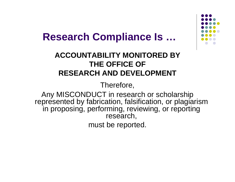

### **ACCOUNTABILITY MONITORED BY THE OFFICE OF RESEARCH AND DEVELOPMENT**

Therefore,

Any MISCONDUCT in research or scholarship represented by fabrication, falsification, or plagiarism in proposing, performing, reviewing, or reporting research,

must be reported.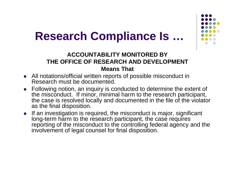

### **ACCOUNTABILITY MONITORED BY THE OFFICE OF RESEARCH AND DEVELOPMENT Means That**

- All notations/official written reports of possible misconduct in Research must be documented.
- Following notion, an inquiry is conducted to determine the extent of the misconduct. If minor, minimal harm to the research participant, the case is resolved locally and documented in the file of the violator as the final disposition.
- If an investigation is required, the misconduct is major, significant long-term harm to the research participant, the case requires reporting of the misconduct to the controlling federal agency and the involvement of legal counsel for final disposition.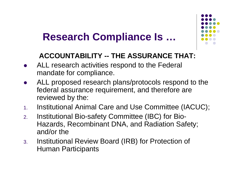

## **ACCOUNTABILITY -- THE ASSURANCE THAT:**

- $\bullet$  ALL research activities respond to the Federal mandate for compliance.
- $\bullet$  ALL proposed research plans/protocols respond to the federal assurance requirement, and therefore are reviewed by the:
- 1.Institutional Animal Care and Use Committee (IACUC);
- 2. Institutional Bio-safety Committee (IBC) for Bio-Hazards, Recombinant DNA, and Radiation Safety; and/or the
- 3. Institutional Review Board (IRB) for Protection of Human Participants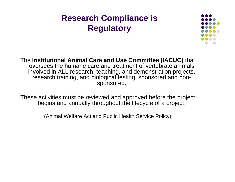

The **Institutional Animal Care and Use Committee (IACUC)** that oversees the humane care and treatment of vertebrate animals involved in ALL research, teaching, and demonstration projects, research training, and biological testing, sponsored and nonsponsored.

These activities must be reviewed and approved before the project begins and annually throughout the lifecycle of a project.

(Animal Welfare Act and Public Health Service Policy)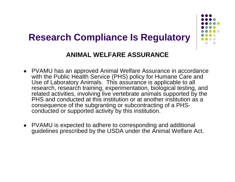

### **ANIMAL WELFARE ASSURANCE**

- PVAMU has an approved Animal Welfare Assurance in accordance with the Public Health Service (PHS) policy for Humane Care and Use of Laboratory Animals. This assurance is applicable to all research, research training, experimentation, biological testing, and related activities, involving live vertebrate animals supported by the PHS and conducted at this institution or at another institution as a consequence of the subgranting or subcontracting of a PHSconducted or supported activity by this institution.
- PVAMU is expected to adhere to corresponding and additional guidelines prescribed by the USDA under the Animal Welfare Act.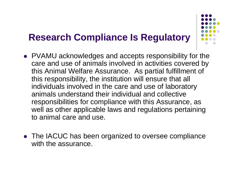

- PVAMU acknowledges and accepts responsibility for the care and use of animals involved in activities covered by this Animal Welfare Assurance. As partial fulfillment of this responsibility, the institution will ensure that all individuals involved in the care and use of laboratory animals understand their individual and collective responsibilities for compliance with this Assurance, as well as other applicable laws and regulations pertaining to animal care and use.
- The IACUC has been organized to oversee compliance with the assurance.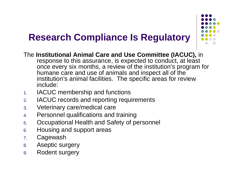

- The **Institutional Animal Care and Use Committee (IACUC),** in response to this assurance, is expected to conduct, at least once every six months, a review of the institution's program for humane care and use of animals and inspect all of the institution's animal facilities. The specific areas for review include:
- 1.IACUC membership and functions
- 2.IACUC records and reporting requirements
- 3.Veterinary care/medical care
- 4.Personnel qualifications and training
- 5.Occupational Health and Safety of personnel
- 6.Housing and support areas
- 7.Cagewash
- 8.Aseptic surgery
- 9.Rodent surgery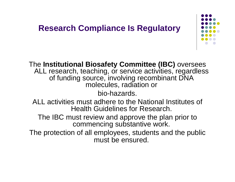

The **Institutional Biosafety Committee (IBC)** oversees ALL research, teaching, or service activities, regardless of funding source, involving recombinant DNA molecules, radiation or

bio-hazards.

ALL activities must adhere to the National Institutes of Health Guidelines for Research.

The IBC must review and approve the plan prior to commencing substantive work.

The protection of all employees, students and the public must be ensured.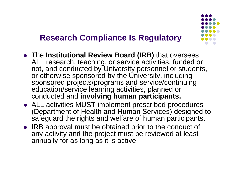

- **The Institutional Review Board (IRB)** that oversees ALL research, teaching, or service activities, funded or not, and conducted by University personnel or students, or otherwise sponsored by the University, including sponsored projects/programs and service/continuing education/service learning activities, planned or conducted and **involving human participants.**
- ALL activities MUST implement prescribed procedures (Department of Health and Human Services) designed to safeguard the rights and welfare of human participants.
- IRB approval must be obtained prior to the conduct of any activity and the project must be reviewed at least annually for as long as it is active.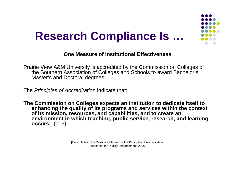

#### **One Measure of Institutional Effectiveness**

Prairie View A&M University is accredited by the Commission on Colleges of the Southern Association of Colleges and Schools to award Bachelor's, Master's and Doctoral degrees.

The *Principles of Accreditation* indicate that:

**The Commission on Colleges expects an institution to dedicate itself to enhancing the quality of its programs and services within the context of its mission, resources, and capabilities, and to create an environment in which teaching, public service, research, and learning occurs**." (p. 3).

> [Excerpts from the Resource Manual for the Principles of Accreditation: Foundation for Quality Enhancement, 2005.]